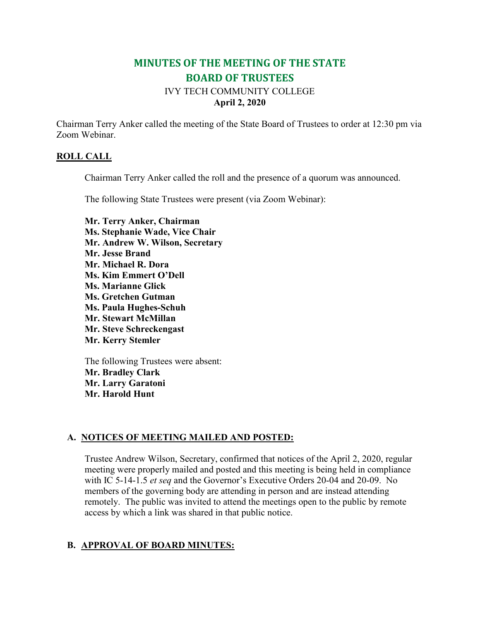# **MINUTES OF THE MEETING OF THE STATE BOARD OF TRUSTEES**

## IVY TECH COMMUNITY COLLEGE **April 2, 2020**

Chairman Terry Anker called the meeting of the State Board of Trustees to order at 12:30 pm via Zoom Webinar.

#### **ROLL CALL**

Chairman Terry Anker called the roll and the presence of a quorum was announced.

The following State Trustees were present (via Zoom Webinar):

**Mr. Terry Anker, Chairman Ms. Stephanie Wade, Vice Chair Mr. Andrew W. Wilson, Secretary Mr. Jesse Brand Mr. Michael R. Dora Ms. Kim Emmert O'Dell Ms. Marianne Glick Ms. Gretchen Gutman Ms. Paula Hughes-Schuh Mr. Stewart McMillan Mr. Steve Schreckengast Mr. Kerry Stemler**

The following Trustees were absent: **Mr. Bradley Clark Mr. Larry Garatoni Mr. Harold Hunt**

### **A. NOTICES OF MEETING MAILED AND POSTED:**

Trustee Andrew Wilson, Secretary, confirmed that notices of the April 2, 2020, regular meeting were properly mailed and posted and this meeting is being held in compliance with IC 5-14-1.5 *et seq* and the Governor's Executive Orders 20-04 and 20-09. No members of the governing body are attending in person and are instead attending remotely. The public was invited to attend the meetings open to the public by remote access by which a link was shared in that public notice.

### **B. APPROVAL OF BOARD MINUTES:**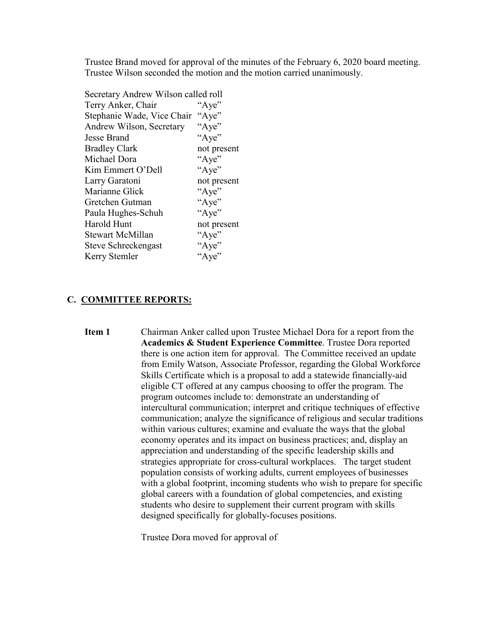Trustee Brand moved for approval of the minutes of the February 6, 2020 board meeting. Trustee Wilson seconded the motion and the motion carried unanimously.

| Secretary Andrew Wilson called roll |             |
|-------------------------------------|-------------|
| Terry Anker, Chair                  | "Aye"       |
| Stephanie Wade, Vice Chair          | "Aye"       |
| Andrew Wilson, Secretary            | "Aye"       |
| Jesse Brand                         | "Aye"       |
| <b>Bradley Clark</b>                | not present |
| Michael Dora                        | "Aye"       |
| Kim Emmert O'Dell                   | "Aye"       |
| Larry Garatoni                      | not present |
| Marianne Glick                      | "Aye"       |
| Gretchen Gutman                     | "Aye"       |
| Paula Hughes-Schuh                  | "Aye"       |
| <b>Harold Hunt</b>                  | not present |
| <b>Stewart McMillan</b>             | "Aye"       |
| Steve Schreckengast                 | "Aye"       |
| Kerry Stemler                       | "Aye"       |
|                                     |             |

#### **C. COMMITTEE REPORTS:**

**Item 1** Chairman Anker called upon Trustee Michael Dora for a report from the **Academics & Student Experience Committee**. Trustee Dora reported there is one action item for approval. The Committee received an update from Emily Watson, Associate Professor, regarding the Global Workforce Skills Certificate which is a proposal to add a statewide financially-aid eligible CT offered at any campus choosing to offer the program. The program outcomes include to: demonstrate an understanding of intercultural communication; interpret and critique techniques of effective communication; analyze the significance of religious and secular traditions within various cultures; examine and evaluate the ways that the global economy operates and its impact on business practices; and, display an appreciation and understanding of the specific leadership skills and strategies appropriate for cross-cultural workplaces. The target student population consists of working adults, current employees of businesses with a global footprint, incoming students who wish to prepare for specific global careers with a foundation of global competencies, and existing students who desire to supplement their current program with skills designed specifically for globally-focuses positions.

Trustee Dora moved for approval of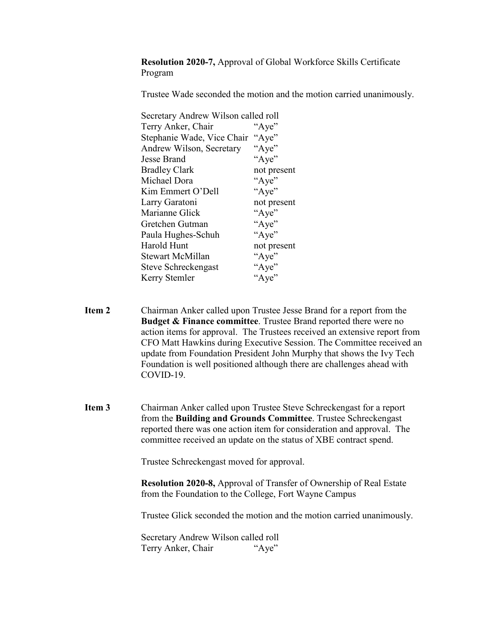**Resolution 2020-7,** Approval of Global Workforce Skills Certificate Program

Trustee Wade seconded the motion and the motion carried unanimously.

| Secretary Andrew Wilson called roll |             |
|-------------------------------------|-------------|
| Terry Anker, Chair                  | "Aye"       |
| Stephanie Wade, Vice Chair          | "Aye"       |
| Andrew Wilson, Secretary            | "Aye"       |
| Jesse Brand                         | "Aye"       |
| <b>Bradley Clark</b>                | not present |
| Michael Dora                        | "Aye"       |
| Kim Emmert O'Dell                   | "Aye"       |
| Larry Garatoni                      | not present |
| Marianne Glick                      | "Aye"       |
| Gretchen Gutman                     | "Aye"       |
| Paula Hughes-Schuh                  | "Aye"       |
| Harold Hunt                         | not present |
| <b>Stewart McMillan</b>             | "Aye"       |
| Steve Schreckengast                 | "Aye"       |
| Kerry Stemler                       | "Aye"       |
|                                     |             |

**Item 2** Chairman Anker called upon Trustee Jesse Brand for a report from the **Budget & Finance committee**. Trustee Brand reported there were no action items for approval. The Trustees received an extensive report from CFO Matt Hawkins during Executive Session. The Committee received an update from Foundation President John Murphy that shows the Ivy Tech Foundation is well positioned although there are challenges ahead with COVID-19.

**Item 3** Chairman Anker called upon Trustee Steve Schreckengast for a report from the **Building and Grounds Committee**. Trustee Schreckengast reported there was one action item for consideration and approval. The committee received an update on the status of XBE contract spend.

Trustee Schreckengast moved for approval.

**Resolution 2020-8,** Approval of Transfer of Ownership of Real Estate from the Foundation to the College, Fort Wayne Campus

Trustee Glick seconded the motion and the motion carried unanimously.

Secretary Andrew Wilson called roll Terry Anker, Chair "Aye"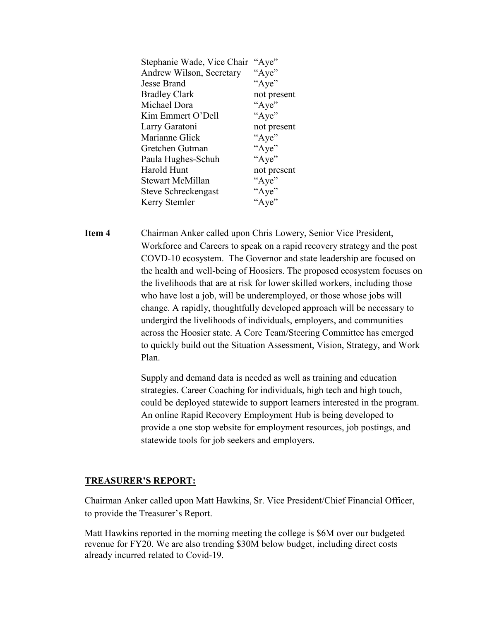| "Aye"       |
|-------------|
| "Aye"       |
| "Aye"       |
| not present |
| "Aye"       |
| "Aye"       |
| not present |
| "Aye"       |
| "Aye"       |
| "Aye"       |
| not present |
| "Aye"       |
| "Aye"       |
| "Aye"       |
|             |

**Item 4** Chairman Anker called upon Chris Lowery, Senior Vice President, Workforce and Careers to speak on a rapid recovery strategy and the post COVD-10 ecosystem. The Governor and state leadership are focused on the health and well-being of Hoosiers. The proposed ecosystem focuses on the livelihoods that are at risk for lower skilled workers, including those who have lost a job, will be underemployed, or those whose jobs will change. A rapidly, thoughtfully developed approach will be necessary to undergird the livelihoods of individuals, employers, and communities across the Hoosier state. A Core Team/Steering Committee has emerged to quickly build out the Situation Assessment, Vision, Strategy, and Work Plan.

> Supply and demand data is needed as well as training and education strategies. Career Coaching for individuals, high tech and high touch, could be deployed statewide to support learners interested in the program. An online Rapid Recovery Employment Hub is being developed to provide a one stop website for employment resources, job postings, and statewide tools for job seekers and employers.

### **TREASURER'S REPORT:**

Chairman Anker called upon Matt Hawkins, Sr. Vice President/Chief Financial Officer, to provide the Treasurer's Report.

Matt Hawkins reported in the morning meeting the college is \$6M over our budgeted revenue for FY20. We are also trending \$30M below budget, including direct costs already incurred related to Covid-19.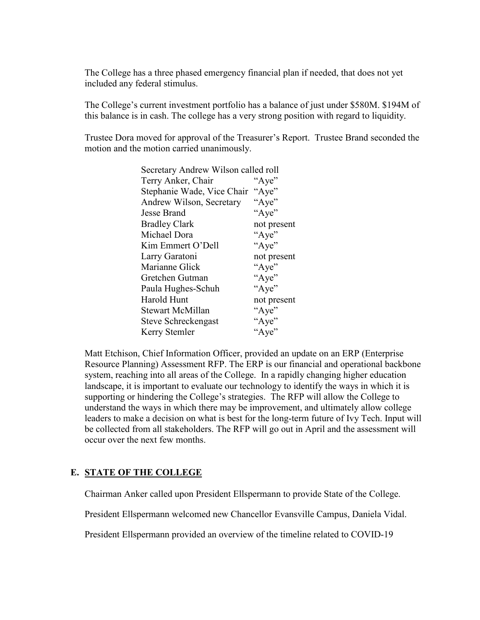The College has a three phased emergency financial plan if needed, that does not yet included any federal stimulus.

The College's current investment portfolio has a balance of just under \$580M. \$194M of this balance is in cash. The college has a very strong position with regard to liquidity.

Trustee Dora moved for approval of the Treasurer's Report. Trustee Brand seconded the motion and the motion carried unanimously.

| Secretary Andrew Wilson called roll |  |
|-------------------------------------|--|
| "Aye"                               |  |
| Stephanie Wade, Vice Chair "Aye"    |  |
| "Aye"                               |  |
| "Aye"                               |  |
| not present                         |  |
| "Aye"                               |  |
| "Aye"                               |  |
| not present                         |  |
| "Aye"                               |  |
| "Aye"                               |  |
| "Aye"                               |  |
| not present                         |  |
| "Aye"                               |  |
| "Aye"                               |  |
| "Aye"                               |  |
|                                     |  |

Matt Etchison, Chief Information Officer, provided an update on an ERP (Enterprise Resource Planning) Assessment RFP. The ERP is our financial and operational backbone system, reaching into all areas of the College. In a rapidly changing higher education landscape, it is important to evaluate our technology to identify the ways in which it is supporting or hindering the College's strategies. The RFP will allow the College to understand the ways in which there may be improvement, and ultimately allow college leaders to make a decision on what is best for the long-term future of Ivy Tech. Input will be collected from all stakeholders. The RFP will go out in April and the assessment will occur over the next few months.

### **E. STATE OF THE COLLEGE**

Chairman Anker called upon President Ellspermann to provide State of the College.

President Ellspermann welcomed new Chancellor Evansville Campus, Daniela Vidal.

President Ellspermann provided an overview of the timeline related to COVID-19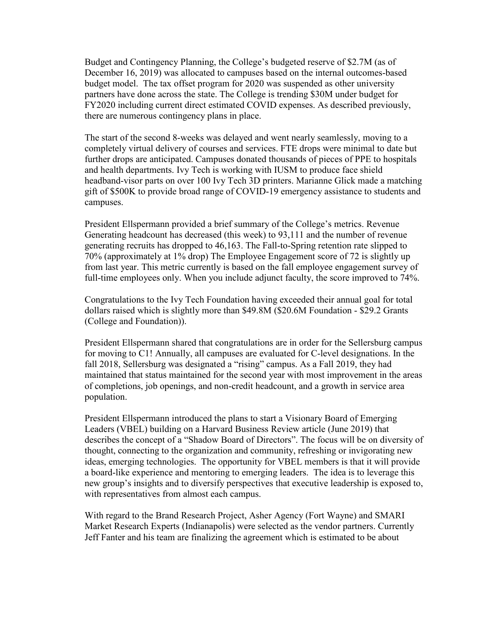Budget and Contingency Planning, the College's budgeted reserve of \$2.7M (as of December 16, 2019) was allocated to campuses based on the internal outcomes-based budget model. The tax offset program for 2020 was suspended as other university partners have done across the state. The College is trending \$30M under budget for FY2020 including current direct estimated COVID expenses. As described previously, there are numerous contingency plans in place.

The start of the second 8-weeks was delayed and went nearly seamlessly, moving to a completely virtual delivery of courses and services. FTE drops were minimal to date but further drops are anticipated. Campuses donated thousands of pieces of PPE to hospitals and health departments. Ivy Tech is working with IUSM to produce face shield headband-visor parts on over 100 Ivy Tech 3D printers. Marianne Glick made a matching gift of \$500K to provide broad range of COVID-19 emergency assistance to students and campuses.

President Ellspermann provided a brief summary of the College's metrics. Revenue Generating headcount has decreased (this week) to 93,111 and the number of revenue generating recruits has dropped to 46,163. The Fall-to-Spring retention rate slipped to 70% (approximately at 1% drop) The Employee Engagement score of 72 is slightly up from last year. This metric currently is based on the fall employee engagement survey of full-time employees only. When you include adjunct faculty, the score improved to 74%.

Congratulations to the Ivy Tech Foundation having exceeded their annual goal for total dollars raised which is slightly more than \$49.8M (\$20.6M Foundation - \$29.2 Grants (College and Foundation)).

President Ellspermann shared that congratulations are in order for the Sellersburg campus for moving to C1! Annually, all campuses are evaluated for C-level designations. In the fall 2018, Sellersburg was designated a "rising" campus. As a Fall 2019, they had maintained that status maintained for the second year with most improvement in the areas of completions, job openings, and non-credit headcount, and a growth in service area population.

President Ellspermann introduced the plans to start a Visionary Board of Emerging Leaders (VBEL) building on a Harvard Business Review article (June 2019) that describes the concept of a "Shadow Board of Directors". The focus will be on diversity of thought, connecting to the organization and community, refreshing or invigorating new ideas, emerging technologies. The opportunity for VBEL members is that it will provide a board-like experience and mentoring to emerging leaders. The idea is to leverage this new group's insights and to diversify perspectives that executive leadership is exposed to, with representatives from almost each campus.

With regard to the Brand Research Project, Asher Agency (Fort Wayne) and SMARI Market Research Experts (Indianapolis) were selected as the vendor partners. Currently Jeff Fanter and his team are finalizing the agreement which is estimated to be about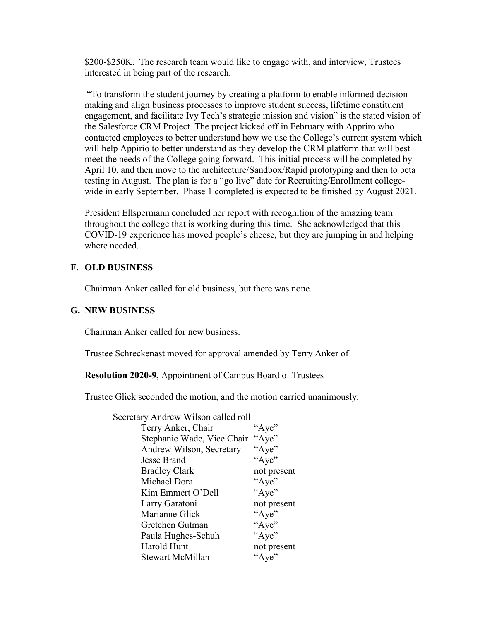\$200-\$250K. The research team would like to engage with, and interview, Trustees interested in being part of the research.

"To transform the student journey by creating a platform to enable informed decisionmaking and align business processes to improve student success, lifetime constituent engagement, and facilitate Ivy Tech's strategic mission and vision" is the stated vision of the Salesforce CRM Project. The project kicked off in February with Appriro who contacted employees to better understand how we use the College's current system which will help Appirio to better understand as they develop the CRM platform that will best meet the needs of the College going forward. This initial process will be completed by April 10, and then move to the architecture/Sandbox/Rapid prototyping and then to beta testing in August. The plan is for a "go live" date for Recruiting/Enrollment collegewide in early September. Phase 1 completed is expected to be finished by August 2021.

President Ellspermann concluded her report with recognition of the amazing team throughout the college that is working during this time. She acknowledged that this COVID-19 experience has moved people's cheese, but they are jumping in and helping where needed.

### **F. OLD BUSINESS**

Chairman Anker called for old business, but there was none.

### **G. NEW BUSINESS**

Chairman Anker called for new business.

Trustee Schreckenast moved for approval amended by Terry Anker of

**Resolution 2020-9,** Appointment of Campus Board of Trustees

Trustee Glick seconded the motion, and the motion carried unanimously.

| "Aye"       |
|-------------|
| "Aye"       |
| "Aye"       |
| "Aye"       |
| not present |
| "Aye"       |
| "Aye"       |
| not present |
| "Aye"       |
| "Aye"       |
| "Aye"       |
| not present |
| "Aye"       |
|             |